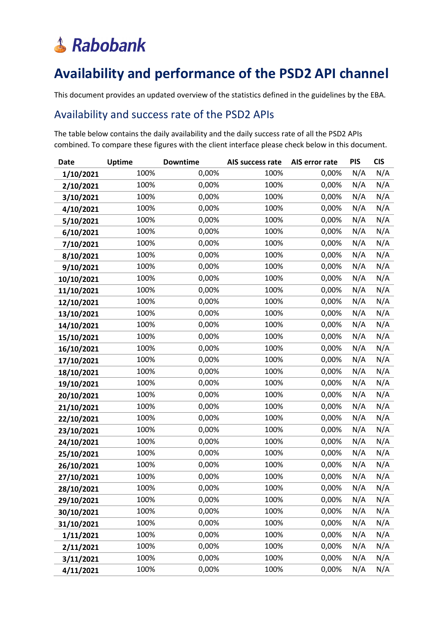#### **Availability and performance of the PSD2 API channel**

This document provides an updated overview of the statistics defined in the guidelines by the EBA.

#### Availability and success rate of the PSD2 APIs

The table below contains the daily availability and the daily success rate of all the PSD2 APIs combined. To compare these figures with the client interface please check below in this document.

| <b>Date</b> | <b>Uptime</b> | <b>Downtime</b> | AIS success rate | AIS error rate | <b>PIS</b> | <b>CIS</b> |
|-------------|---------------|-----------------|------------------|----------------|------------|------------|
| 1/10/2021   | 100%          | 0,00%           | 100%             | 0,00%          | N/A        | N/A        |
| 2/10/2021   | 100%          | 0,00%           | 100%             | 0,00%          | N/A        | N/A        |
| 3/10/2021   | 100%          | 0,00%           | 100%             | 0,00%          | N/A        | N/A        |
| 4/10/2021   | 100%          | 0,00%           | 100%             | 0,00%          | N/A        | N/A        |
| 5/10/2021   | 100%          | 0,00%           | 100%             | 0,00%          | N/A        | N/A        |
| 6/10/2021   | 100%          | 0,00%           | 100%             | 0,00%          | N/A        | N/A        |
| 7/10/2021   | 100%          | 0,00%           | 100%             | 0,00%          | N/A        | N/A        |
| 8/10/2021   | 100%          | 0,00%           | 100%             | 0,00%          | N/A        | N/A        |
| 9/10/2021   | 100%          | 0,00%           | 100%             | 0,00%          | N/A        | N/A        |
| 10/10/2021  | 100%          | 0,00%           | 100%             | 0,00%          | N/A        | N/A        |
| 11/10/2021  | 100%          | 0,00%           | 100%             | 0,00%          | N/A        | N/A        |
| 12/10/2021  | 100%          | 0,00%           | 100%             | 0,00%          | N/A        | N/A        |
| 13/10/2021  | 100%          | 0,00%           | 100%             | 0,00%          | N/A        | N/A        |
| 14/10/2021  | 100%          | 0,00%           | 100%             | 0,00%          | N/A        | N/A        |
| 15/10/2021  | 100%          | 0,00%           | 100%             | 0,00%          | N/A        | N/A        |
| 16/10/2021  | 100%          | 0,00%           | 100%             | 0,00%          | N/A        | N/A        |
| 17/10/2021  | 100%          | 0,00%           | 100%             | 0,00%          | N/A        | N/A        |
| 18/10/2021  | 100%          | 0,00%           | 100%             | 0,00%          | N/A        | N/A        |
| 19/10/2021  | 100%          | 0,00%           | 100%             | 0,00%          | N/A        | N/A        |
| 20/10/2021  | 100%          | 0,00%           | 100%             | 0,00%          | N/A        | N/A        |
| 21/10/2021  | 100%          | 0,00%           | 100%             | 0,00%          | N/A        | N/A        |
| 22/10/2021  | 100%          | 0,00%           | 100%             | 0,00%          | N/A        | N/A        |
| 23/10/2021  | 100%          | 0,00%           | 100%             | 0,00%          | N/A        | N/A        |
| 24/10/2021  | 100%          | 0,00%           | 100%             | 0,00%          | N/A        | N/A        |
| 25/10/2021  | 100%          | 0,00%           | 100%             | 0,00%          | N/A        | N/A        |
| 26/10/2021  | 100%          | 0,00%           | 100%             | 0,00%          | N/A        | N/A        |
| 27/10/2021  | 100%          | 0,00%           | 100%             | 0,00%          | N/A        | N/A        |
| 28/10/2021  | 100%          | 0,00%           | 100%             | 0,00%          | N/A        | N/A        |
| 29/10/2021  | 100%          | 0,00%           | 100%             | 0,00%          | N/A        | N/A        |
| 30/10/2021  | 100%          | 0,00%           | 100%             | 0,00%          | N/A        | N/A        |
| 31/10/2021  | 100%          | 0,00%           | 100%             | 0,00%          | N/A        | N/A        |
| 1/11/2021   | 100%          | 0,00%           | 100%             | 0,00%          | N/A        | N/A        |
| 2/11/2021   | 100%          | 0,00%           | 100%             | 0,00%          | N/A        | N/A        |
| 3/11/2021   | 100%          | 0,00%           | 100%             | 0,00%          | N/A        | N/A        |
| 4/11/2021   | 100%          | 0,00%           | 100%             | 0,00%          | N/A        | N/A        |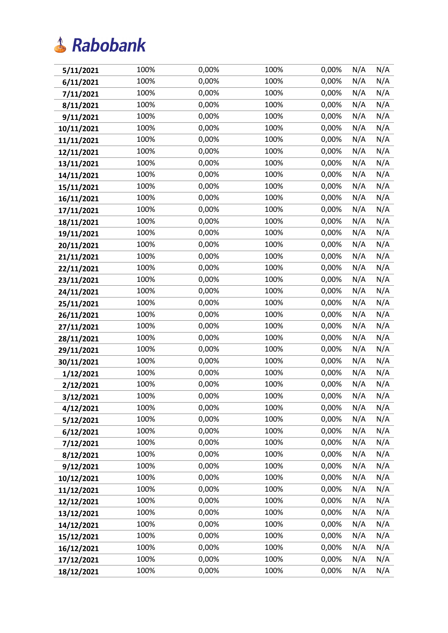| 5/11/2021  | 100% | 0,00% | 100% | 0,00% | N/A | N/A |
|------------|------|-------|------|-------|-----|-----|
| 6/11/2021  | 100% | 0,00% | 100% | 0,00% | N/A | N/A |
| 7/11/2021  | 100% | 0,00% | 100% | 0,00% | N/A | N/A |
| 8/11/2021  | 100% | 0,00% | 100% | 0,00% | N/A | N/A |
| 9/11/2021  | 100% | 0,00% | 100% | 0,00% | N/A | N/A |
| 10/11/2021 | 100% | 0,00% | 100% | 0,00% | N/A | N/A |
| 11/11/2021 | 100% | 0,00% | 100% | 0,00% | N/A | N/A |
| 12/11/2021 | 100% | 0,00% | 100% | 0,00% | N/A | N/A |
| 13/11/2021 | 100% | 0,00% | 100% | 0,00% | N/A | N/A |
| 14/11/2021 | 100% | 0,00% | 100% | 0,00% | N/A | N/A |
| 15/11/2021 | 100% | 0,00% | 100% | 0,00% | N/A | N/A |
| 16/11/2021 | 100% | 0,00% | 100% | 0,00% | N/A | N/A |
| 17/11/2021 | 100% | 0,00% | 100% | 0,00% | N/A | N/A |
| 18/11/2021 | 100% | 0,00% | 100% | 0,00% | N/A | N/A |
| 19/11/2021 | 100% | 0,00% | 100% | 0,00% | N/A | N/A |
| 20/11/2021 | 100% | 0,00% | 100% | 0,00% | N/A | N/A |
| 21/11/2021 | 100% | 0,00% | 100% | 0,00% | N/A | N/A |
| 22/11/2021 | 100% | 0,00% | 100% | 0,00% | N/A | N/A |
| 23/11/2021 | 100% | 0,00% | 100% | 0,00% | N/A | N/A |
| 24/11/2021 | 100% | 0,00% | 100% | 0,00% | N/A | N/A |
| 25/11/2021 | 100% | 0,00% | 100% | 0,00% | N/A | N/A |
| 26/11/2021 | 100% | 0,00% | 100% | 0,00% | N/A | N/A |
| 27/11/2021 | 100% | 0,00% | 100% | 0,00% | N/A | N/A |
| 28/11/2021 | 100% | 0,00% | 100% | 0,00% | N/A | N/A |
| 29/11/2021 | 100% | 0,00% | 100% | 0,00% | N/A | N/A |
| 30/11/2021 | 100% | 0,00% | 100% | 0,00% | N/A | N/A |
| 1/12/2021  | 100% | 0,00% | 100% | 0,00% | N/A | N/A |
| 2/12/2021  | 100% | 0,00% | 100% | 0,00% | N/A | N/A |
| 3/12/2021  | 100% | 0,00% | 100% | 0,00% | N/A | N/A |
| 4/12/2021  | 100% | 0,00% | 100% | 0,00% | N/A | N/A |
| 5/12/2021  | 100% | 0,00% | 100% | 0,00% | N/A | N/A |
| 6/12/2021  | 100% | 0,00% | 100% | 0,00% | N/A | N/A |
| 7/12/2021  | 100% | 0,00% | 100% | 0,00% | N/A | N/A |
| 8/12/2021  | 100% | 0,00% | 100% | 0,00% | N/A | N/A |
| 9/12/2021  | 100% | 0,00% | 100% | 0,00% | N/A | N/A |
| 10/12/2021 | 100% | 0,00% | 100% | 0,00% | N/A | N/A |
| 11/12/2021 | 100% | 0,00% | 100% | 0,00% | N/A | N/A |
| 12/12/2021 | 100% | 0,00% | 100% | 0,00% | N/A | N/A |
| 13/12/2021 | 100% | 0,00% | 100% | 0,00% | N/A | N/A |
| 14/12/2021 | 100% | 0,00% | 100% | 0,00% | N/A | N/A |
| 15/12/2021 | 100% | 0,00% | 100% | 0,00% | N/A | N/A |
| 16/12/2021 | 100% | 0,00% | 100% | 0,00% | N/A | N/A |
| 17/12/2021 | 100% | 0,00% | 100% | 0,00% | N/A | N/A |
| 18/12/2021 | 100% | 0,00% | 100% | 0,00% | N/A | N/A |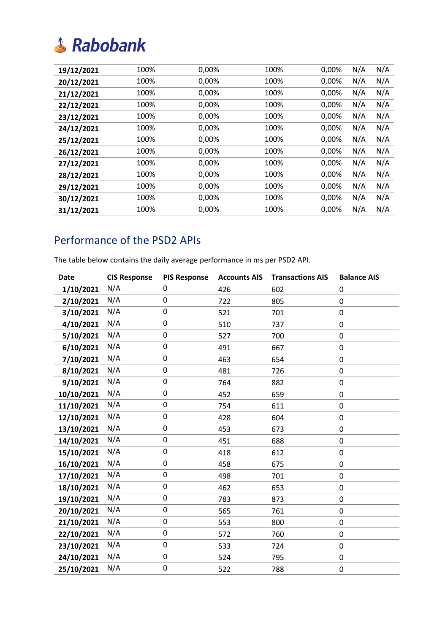| 19/12/2021 | 100% | 0,00% | 100% | 0,00% | N/A | N/A |
|------------|------|-------|------|-------|-----|-----|
| 20/12/2021 | 100% | 0,00% | 100% | 0,00% | N/A | N/A |
| 21/12/2021 | 100% | 0,00% | 100% | 0,00% | N/A | N/A |
| 22/12/2021 | 100% | 0,00% | 100% | 0,00% | N/A | N/A |
| 23/12/2021 | 100% | 0,00% | 100% | 0,00% | N/A | N/A |
| 24/12/2021 | 100% | 0,00% | 100% | 0,00% | N/A | N/A |
| 25/12/2021 | 100% | 0,00% | 100% | 0,00% | N/A | N/A |
| 26/12/2021 | 100% | 0,00% | 100% | 0,00% | N/A | N/A |
| 27/12/2021 | 100% | 0,00% | 100% | 0,00% | N/A | N/A |
| 28/12/2021 | 100% | 0,00% | 100% | 0,00% | N/A | N/A |
| 29/12/2021 | 100% | 0,00% | 100% | 0,00% | N/A | N/A |
| 30/12/2021 | 100% | 0,00% | 100% | 0,00% | N/A | N/A |
| 31/12/2021 | 100% | 0,00% | 100% | 0,00% | N/A | N/A |
|            |      |       |      |       |     |     |

#### Performance of the PSD2 APIs

The table below contains the daily average performance in ms per PSD2 API.

| <b>Date</b> | <b>CIS Response</b> | <b>PIS Response</b> | <b>Accounts AIS</b> | <b>Transactions AIS</b> | <b>Balance AIS</b>  |
|-------------|---------------------|---------------------|---------------------|-------------------------|---------------------|
| 1/10/2021   | N/A                 | 0                   | 426                 | 602                     | 0                   |
| 2/10/2021   | N/A                 | 0                   | 722                 | 805                     | 0                   |
| 3/10/2021   | N/A                 | $\mathbf 0$         | 521                 | 701                     | $\mathbf 0$         |
| 4/10/2021   | N/A                 | 0                   | 510                 | 737                     | 0                   |
| 5/10/2021   | N/A                 | 0                   | 527                 | 700                     | 0                   |
| 6/10/2021   | N/A                 | 0                   | 491                 | 667                     | 0                   |
| 7/10/2021   | N/A                 | 0                   | 463                 | 654                     | 0                   |
| 8/10/2021   | N/A                 | $\pmb{0}$           | 481                 | 726                     | 0                   |
| 9/10/2021   | N/A                 | $\mathbf 0$         | 764                 | 882                     | 0                   |
| 10/10/2021  | N/A                 | $\pmb{0}$           | 452                 | 659                     | 0                   |
| 11/10/2021  | N/A                 | $\mathbf 0$         | 754                 | 611                     | 0                   |
| 12/10/2021  | N/A                 | $\pmb{0}$           | 428                 | 604                     | $\mathbf 0$         |
| 13/10/2021  | N/A                 | 0                   | 453                 | 673                     | 0                   |
| 14/10/2021  | N/A                 | $\mathbf 0$         | 451                 | 688                     | 0                   |
| 15/10/2021  | N/A                 | 0                   | 418                 | 612                     | 0                   |
| 16/10/2021  | N/A                 | $\mathbf 0$         | 458                 | 675                     | 0                   |
| 17/10/2021  | N/A                 | 0                   | 498                 | 701                     | 0                   |
| 18/10/2021  | N/A                 | 0                   | 462                 | 653                     | 0                   |
| 19/10/2021  | N/A                 | $\pmb{0}$           | 783                 | 873                     | $\mathbf 0$         |
| 20/10/2021  | N/A                 | 0                   | 565                 | 761                     | $\mathsf{O}\xspace$ |
| 21/10/2021  | N/A                 | $\pmb{0}$           | 553                 | 800                     | 0                   |
| 22/10/2021  | N/A                 | $\mathsf 0$         | 572                 | 760                     | 0                   |
| 23/10/2021  | N/A                 | $\pmb{0}$           | 533                 | 724                     | 0                   |
| 24/10/2021  | N/A                 | 0                   | 524                 | 795                     | 0                   |
| 25/10/2021  | N/A                 | $\mathbf 0$         | 522                 | 788                     | 0                   |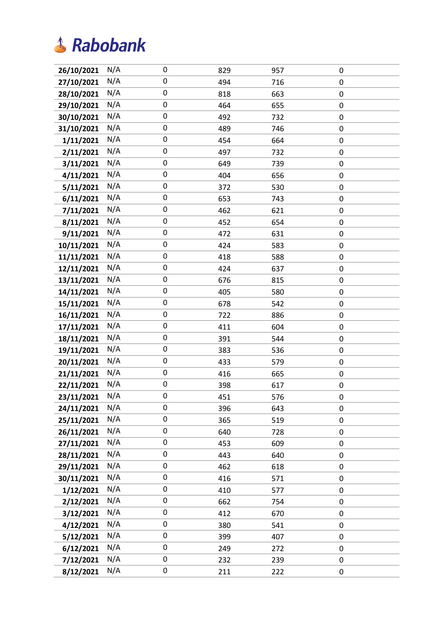| 26/10/2021 | N/A | 0                   | 829 | 957 | 0         |
|------------|-----|---------------------|-----|-----|-----------|
| 27/10/2021 | N/A | $\mathsf{O}\xspace$ | 494 | 716 | 0         |
| 28/10/2021 | N/A | 0                   | 818 | 663 | 0         |
| 29/10/2021 | N/A | $\mathbf 0$         | 464 | 655 | $\pmb{0}$ |
| 30/10/2021 | N/A | $\mathbf 0$         | 492 | 732 | 0         |
| 31/10/2021 | N/A | 0                   | 489 | 746 | $\pmb{0}$ |
| 1/11/2021  | N/A | $\mathbf 0$         | 454 | 664 | $\pmb{0}$ |
| 2/11/2021  | N/A | $\pmb{0}$           | 497 | 732 | 0         |
| 3/11/2021  | N/A | $\pmb{0}$           | 649 | 739 | $\pmb{0}$ |
| 4/11/2021  | N/A | $\mathbf 0$         | 404 | 656 | $\pmb{0}$ |
| 5/11/2021  | N/A | 0                   | 372 | 530 | $\pmb{0}$ |
| 6/11/2021  | N/A | $\pmb{0}$           | 653 | 743 | $\pmb{0}$ |
| 7/11/2021  | N/A | $\pmb{0}$           | 462 | 621 | 0         |
| 8/11/2021  | N/A | $\mathsf{O}\xspace$ | 452 | 654 | 0         |
| 9/11/2021  | N/A | 0                   | 472 | 631 | 0         |
| 10/11/2021 | N/A | $\pmb{0}$           | 424 | 583 | 0         |
| 11/11/2021 | N/A | $\mathbf 0$         | 418 | 588 | $\pmb{0}$ |
| 12/11/2021 | N/A | 0                   | 424 | 637 | $\pmb{0}$ |
| 13/11/2021 | N/A | $\pmb{0}$           | 676 | 815 | 0         |
| 14/11/2021 | N/A | $\pmb{0}$           | 405 | 580 | $\pmb{0}$ |
| 15/11/2021 | N/A | $\mathsf{O}\xspace$ | 678 | 542 | 0         |
| 16/11/2021 | N/A | $\mathbf 0$         | 722 | 886 | $\pmb{0}$ |
| 17/11/2021 | N/A | 0                   | 411 | 604 | $\pmb{0}$ |
| 18/11/2021 | N/A | $\mathbf 0$         | 391 | 544 | 0         |
| 19/11/2021 | N/A | $\pmb{0}$           | 383 | 536 | $\pmb{0}$ |
| 20/11/2021 | N/A | $\pmb{0}$           | 433 | 579 | 0         |
| 21/11/2021 | N/A | 0                   | 416 | 665 | 0         |
| 22/11/2021 | N/A | 0                   | 398 | 617 | $\pmb{0}$ |
| 23/11/2021 | N/A | $\mathbf 0$         | 451 | 576 | 0         |
| 24/11/2021 | N/A | 0                   | 396 | 643 | 0         |
| 25/11/2021 | N/A | $\mathbf 0$         | 365 | 519 | $\pmb{0}$ |
| 26/11/2021 | N/A | 0                   | 640 | 728 | 0         |
| 27/11/2021 | N/A | 0                   | 453 | 609 | 0         |
| 28/11/2021 | N/A | $\mathbf 0$         | 443 | 640 | $\pmb{0}$ |
| 29/11/2021 | N/A | $\mathbf 0$         | 462 | 618 | 0         |
| 30/11/2021 | N/A | $\mathbf 0$         | 416 | 571 | $\pmb{0}$ |
| 1/12/2021  | N/A | 0                   | 410 | 577 | 0         |
| 2/12/2021  | N/A | $\pmb{0}$           | 662 | 754 | 0         |
| 3/12/2021  | N/A | $\mathbf 0$         | 412 | 670 | $\pmb{0}$ |
| 4/12/2021  | N/A | 0                   | 380 | 541 | 0         |
| 5/12/2021  | N/A | $\mathbf 0$         | 399 | 407 | $\pmb{0}$ |
| 6/12/2021  | N/A | 0                   | 249 | 272 | 0         |
| 7/12/2021  | N/A | $\mathbf 0$         | 232 | 239 | $\pmb{0}$ |
| 8/12/2021  | N/A | $\pmb{0}$           | 211 | 222 | 0         |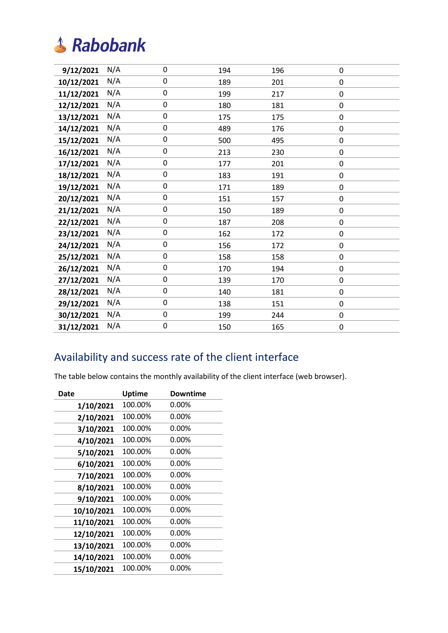| 9/12/2021  | N/A | 0         | 194 | 196 | $\pmb{0}$ |
|------------|-----|-----------|-----|-----|-----------|
| 10/12/2021 | N/A | 0         | 189 | 201 | 0         |
| 11/12/2021 | N/A | $\pmb{0}$ | 199 | 217 | 0         |
| 12/12/2021 | N/A | $\pmb{0}$ | 180 | 181 | 0         |
| 13/12/2021 | N/A | 0         | 175 | 175 | 0         |
| 14/12/2021 | N/A | 0         | 489 | 176 | 0         |
| 15/12/2021 | N/A | 0         | 500 | 495 | 0         |
| 16/12/2021 | N/A | 0         | 213 | 230 | 0         |
| 17/12/2021 | N/A | $\pmb{0}$ | 177 | 201 | 0         |
| 18/12/2021 | N/A | 0         | 183 | 191 | 0         |
| 19/12/2021 | N/A | $\pmb{0}$ | 171 | 189 | 0         |
| 20/12/2021 | N/A | 0         | 151 | 157 | 0         |
| 21/12/2021 | N/A | 0         | 150 | 189 | 0         |
| 22/12/2021 | N/A | 0         | 187 | 208 | $\pmb{0}$ |
| 23/12/2021 | N/A | 0         | 162 | 172 | 0         |
| 24/12/2021 | N/A | 0         | 156 | 172 | 0         |
| 25/12/2021 | N/A | 0         | 158 | 158 | $\pmb{0}$ |
| 26/12/2021 | N/A | 0         | 170 | 194 | 0         |
| 27/12/2021 | N/A | $\pmb{0}$ | 139 | 170 | 0         |
| 28/12/2021 | N/A | 0         | 140 | 181 | 0         |
| 29/12/2021 | N/A | $\pmb{0}$ | 138 | 151 | 0         |
| 30/12/2021 | N/A | $\pmb{0}$ | 199 | 244 | 0         |
| 31/12/2021 | N/A | 0         | 150 | 165 | 0         |
|            |     |           |     |     |           |

#### Availability and success rate of the client interface

The table below contains the monthly availability of the client interface (web browser).

| Date       | Uptime  | Downtime |
|------------|---------|----------|
| 1/10/2021  | 100.00% | $0.00\%$ |
| 2/10/2021  | 100.00% | 0.00%    |
| 3/10/2021  | 100.00% | $0.00\%$ |
| 4/10/2021  | 100.00% | $0.00\%$ |
| 5/10/2021  | 100.00% | 0.00%    |
| 6/10/2021  | 100.00% | 0.00%    |
| 7/10/2021  | 100.00% | $0.00\%$ |
| 8/10/2021  | 100.00% | 0.00%    |
| 9/10/2021  | 100.00% | 0.00%    |
| 10/10/2021 | 100.00% | $0.00\%$ |
| 11/10/2021 | 100.00% | $0.00\%$ |
| 12/10/2021 | 100.00% | 0.00%    |
| 13/10/2021 | 100.00% | $0.00\%$ |
| 14/10/2021 | 100.00% | 0.00%    |
| 15/10/2021 | 100.00% | $0.00\%$ |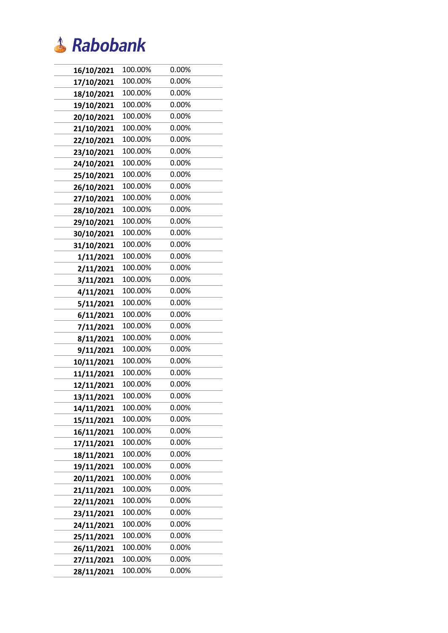

| 16/10/2021 | 100.00% | 0.00% |
|------------|---------|-------|
| 17/10/2021 | 100.00% | 0.00% |
| 18/10/2021 | 100.00% | 0.00% |
| 19/10/2021 | 100.00% | 0.00% |
| 20/10/2021 | 100.00% | 0.00% |
| 21/10/2021 | 100.00% | 0.00% |
| 22/10/2021 | 100.00% | 0.00% |
| 23/10/2021 | 100.00% | 0.00% |
| 24/10/2021 | 100.00% | 0.00% |
| 25/10/2021 | 100.00% | 0.00% |
| 26/10/2021 | 100.00% | 0.00% |
| 27/10/2021 | 100.00% | 0.00% |
| 28/10/2021 | 100.00% | 0.00% |
| 29/10/2021 | 100.00% | 0.00% |
| 30/10/2021 | 100.00% | 0.00% |
| 31/10/2021 | 100.00% | 0.00% |
| 1/11/2021  | 100.00% | 0.00% |
| 2/11/2021  | 100.00% | 0.00% |
| 3/11/2021  | 100.00% | 0.00% |
| 4/11/2021  | 100.00% | 0.00% |
| 5/11/2021  | 100.00% | 0.00% |
| 6/11/2021  | 100.00% | 0.00% |
| 7/11/2021  | 100.00% | 0.00% |
| 8/11/2021  | 100.00% | 0.00% |
| 9/11/2021  | 100.00% | 0.00% |
| 10/11/2021 | 100.00% | 0.00% |
| 11/11/2021 | 100.00% | 0.00% |
| 12/11/2021 | 100.00% | 0.00% |
| 13/11/2021 | 100.00% | 0.00% |
| 14/11/2021 | 100.00% | 0.00% |
| 15/11/2021 | 100.00% | 0.00% |
| 16/11/2021 | 100.00% | 0.00% |
| 17/11/2021 | 100.00% | 0.00% |
| 18/11/2021 | 100.00% | 0.00% |
| 19/11/2021 | 100.00% | 0.00% |
| 20/11/2021 | 100.00% | 0.00% |
| 21/11/2021 | 100.00% | 0.00% |
| 22/11/2021 | 100.00% | 0.00% |
| 23/11/2021 | 100.00% | 0.00% |
| 24/11/2021 | 100.00% | 0.00% |
| 25/11/2021 | 100.00% | 0.00% |
| 26/11/2021 | 100.00% | 0.00% |
| 27/11/2021 | 100.00% | 0.00% |
| 28/11/2021 | 100.00% | 0.00% |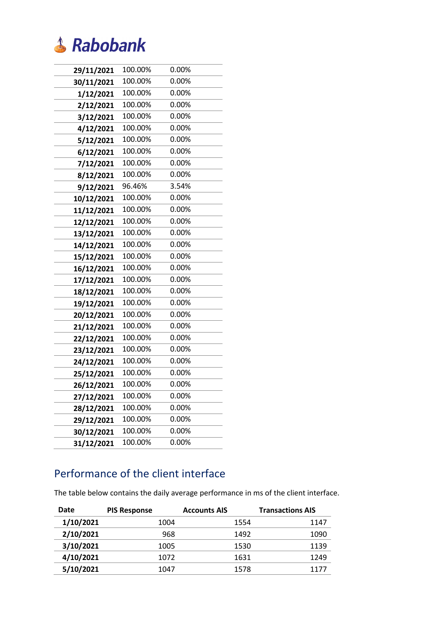

| 29/11/2021 | 100.00% | 0.00%    |
|------------|---------|----------|
| 30/11/2021 | 100.00% | 0.00%    |
| 1/12/2021  | 100.00% | 0.00%    |
| 2/12/2021  | 100.00% | 0.00%    |
| 3/12/2021  | 100.00% | 0.00%    |
| 4/12/2021  | 100.00% | $0.00\%$ |
| 5/12/2021  | 100.00% | $0.00\%$ |
| 6/12/2021  | 100.00% | 0.00%    |
| 7/12/2021  | 100.00% | 0.00%    |
| 8/12/2021  | 100.00% | 0.00%    |
| 9/12/2021  | 96.46%  | 3.54%    |
| 10/12/2021 | 100.00% | 0.00%    |
| 11/12/2021 | 100.00% | 0.00%    |
| 12/12/2021 | 100.00% | 0.00%    |
| 13/12/2021 | 100.00% | 0.00%    |
| 14/12/2021 | 100.00% | 0.00%    |
| 15/12/2021 | 100.00% | 0.00%    |
| 16/12/2021 | 100.00% | 0.00%    |
| 17/12/2021 | 100.00% | 0.00%    |
| 18/12/2021 | 100.00% | 0.00%    |
| 19/12/2021 | 100.00% | 0.00%    |
| 20/12/2021 | 100.00% | 0.00%    |
| 21/12/2021 | 100.00% | $0.00\%$ |
| 22/12/2021 | 100.00% | 0.00%    |
| 23/12/2021 | 100.00% | 0.00%    |
| 24/12/2021 | 100.00% | 0.00%    |
| 25/12/2021 | 100.00% | 0.00%    |
| 26/12/2021 | 100.00% | 0.00%    |
| 27/12/2021 | 100.00% | 0.00%    |
| 28/12/2021 | 100.00% | 0.00%    |
| 29/12/2021 | 100.00% | 0.00%    |
| 30/12/2021 | 100.00% | 0.00%    |
| 31/12/2021 | 100.00% | 0.00%    |

#### Performance of the client interface

The table below contains the daily average performance in ms of the client interface.

| Date      | <b>PIS Response</b> | <b>Accounts AIS</b> | <b>Transactions AIS</b> |
|-----------|---------------------|---------------------|-------------------------|
| 1/10/2021 | 1004                | 1554                | 1147                    |
| 2/10/2021 | 968                 | 1492                | 1090                    |
| 3/10/2021 | 1005                | 1530                | 1139                    |
| 4/10/2021 | 1072                | 1631                | 1249                    |
| 5/10/2021 | 1047                | 1578                | 1177                    |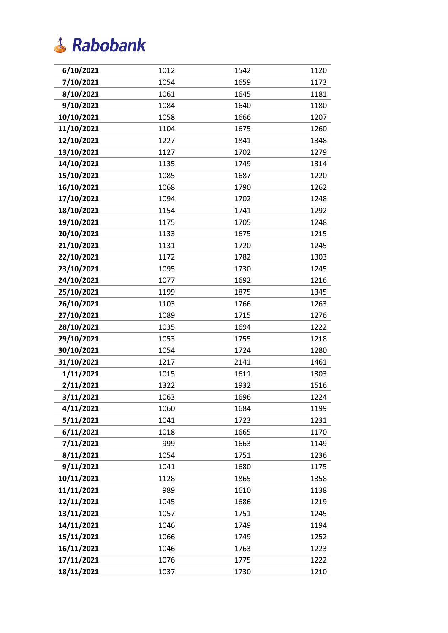

| 6/10/2021  | 1012 | 1542 | 1120 |
|------------|------|------|------|
| 7/10/2021  | 1054 | 1659 | 1173 |
| 8/10/2021  | 1061 | 1645 | 1181 |
| 9/10/2021  | 1084 | 1640 | 1180 |
| 10/10/2021 | 1058 | 1666 | 1207 |
| 11/10/2021 | 1104 | 1675 | 1260 |
| 12/10/2021 | 1227 | 1841 | 1348 |
| 13/10/2021 | 1127 | 1702 | 1279 |
| 14/10/2021 | 1135 | 1749 | 1314 |
| 15/10/2021 | 1085 | 1687 | 1220 |
| 16/10/2021 | 1068 | 1790 | 1262 |
| 17/10/2021 | 1094 | 1702 | 1248 |
| 18/10/2021 | 1154 | 1741 | 1292 |
| 19/10/2021 | 1175 | 1705 | 1248 |
| 20/10/2021 | 1133 | 1675 | 1215 |
| 21/10/2021 | 1131 | 1720 | 1245 |
| 22/10/2021 | 1172 | 1782 | 1303 |
| 23/10/2021 | 1095 | 1730 | 1245 |
| 24/10/2021 | 1077 | 1692 | 1216 |
| 25/10/2021 | 1199 | 1875 | 1345 |
| 26/10/2021 | 1103 | 1766 | 1263 |
| 27/10/2021 | 1089 | 1715 | 1276 |
| 28/10/2021 | 1035 | 1694 | 1222 |
| 29/10/2021 | 1053 | 1755 | 1218 |
| 30/10/2021 | 1054 | 1724 | 1280 |
| 31/10/2021 | 1217 | 2141 | 1461 |
| 1/11/2021  | 1015 | 1611 | 1303 |
| 2/11/2021  | 1322 | 1932 | 1516 |
| 3/11/2021  | 1063 | 1696 | 1224 |
| 4/11/2021  | 1060 | 1684 | 1199 |
| 5/11/2021  | 1041 | 1723 | 1231 |
| 6/11/2021  | 1018 | 1665 | 1170 |
| 7/11/2021  | 999  | 1663 | 1149 |
| 8/11/2021  | 1054 | 1751 | 1236 |
| 9/11/2021  | 1041 | 1680 | 1175 |
| 10/11/2021 | 1128 | 1865 | 1358 |
| 11/11/2021 | 989  | 1610 | 1138 |
| 12/11/2021 | 1045 | 1686 | 1219 |
| 13/11/2021 | 1057 | 1751 | 1245 |
| 14/11/2021 | 1046 | 1749 | 1194 |
| 15/11/2021 | 1066 | 1749 | 1252 |
| 16/11/2021 | 1046 | 1763 | 1223 |
| 17/11/2021 | 1076 | 1775 | 1222 |
| 18/11/2021 | 1037 | 1730 | 1210 |